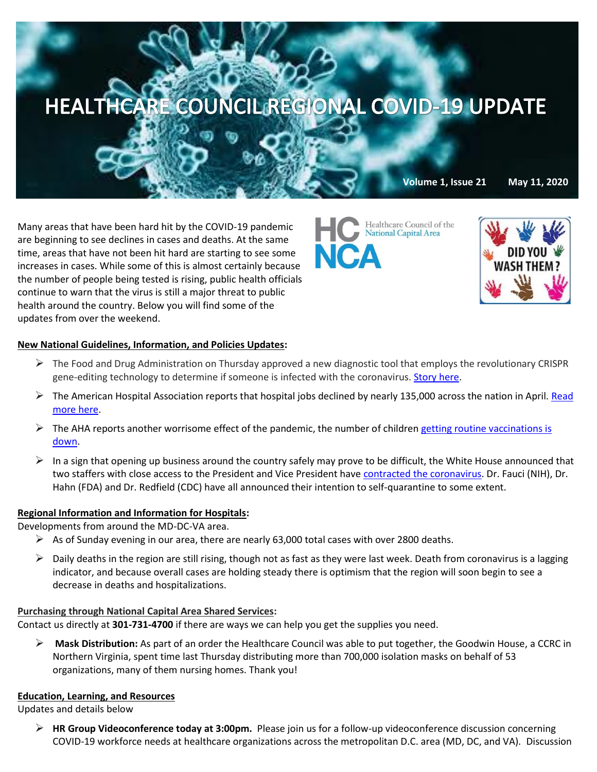

Many areas that have been hard hit by the COVID-19 pandemic are beginning to see declines in cases and deaths. At the same time, areas that have not been hit hard are starting to see some increases in cases. While some of this is almost certainly because the number of people being tested is rising, public health officials continue to warn that the virus is still a major threat to public health around the country. Below you will find some of the updates from over the weekend.

Healthcare Council of the **National Capital Area NCA** 



# **New National Guidelines, Information, and Policies Updates:**

- $\triangleright$  The Food and Drug Administration on Thursday approved a new diagnostic tool that employs the revolutionary CRISPR gene-editing technology to determine if someone is infected with the coronavirus. [Story here.](https://www.washingtonpost.com/health/fda-gives-emergency-authorization-for-crispr-based-diagnostic-tool-for-coronavirus/2020/05/07/f98029bc-9082-11ea-a9c0-73b93422d691_story.html?mkt_tok=eyJpIjoiTnpjelkyRTRaVEkyTTJWaSIsInQiOiIwXC9cL3FldDhVTFZQR1paOWZEVSt2TVh2Z2RFeVBtXC8xcWJ3OFZ1YWVCMVwvZ1pLTGRCcVBNbFJ6K1dEQzZkT3JXazJXMU1XcGFLbDBaRWxaZXp4a3Jnc0VCb2RKdHBNR2xoRFhURzAzTGxhcXg1UmV1Q2R6amFTSmg1TEluS28wcnAifQ==)
- $\triangleright$  The American Hospital Association reports that hospital jobs declined by nearly 135,000 across the nation in April. Read [more here.](https://www.aha.org/news/headline/2020-05-08-hospital-jobs-decline-134900-april)
- $\triangleright$  The AHA reports another worrisome effect of the pandemic, the number of children getting routine vaccinations is [down.](https://www.aha.org/news/headline/2020-05-08-routine-childhood-vaccinations-down-during-pandemic)
- In a sign that opening up business around the country safely may prove to be difficult, the White House announced that two staffers with close access to the President and Vice President hav[e contracted the coronavirus.](https://www.washingtonpost.com/politics/a-top-aide-to-vice-president-pence-tests-positive-for-coronavirus/2020/05/08/7d80520c-914e-11ea-a0bc-4e9ad4866d21_story.html) Dr. Fauci (NIH), Dr. Hahn (FDA) and Dr. Redfield (CDC) have all announced their intention to self-quarantine to some extent.

### **Regional Information and Information for Hospitals:**

Developments from around the MD-DC-VA area.

- $\triangleright$  As of Sunday evening in our area, there are nearly 63,000 total cases with over 2800 deaths.
- $\triangleright$  Daily deaths in the region are still rising, though not as fast as they were last week. Death from coronavirus is a lagging indicator, and because overall cases are holding steady there is optimism that the region will soon begin to see a decrease in deaths and hospitalizations.

### **Purchasing through National Capital Area Shared Services:**

Contact us directly at **301-731-4700** if there are ways we can help you get the supplies you need.

 **Mask Distribution:** As part of an order the Healthcare Council was able to put together, the Goodwin House, a CCRC in Northern Virginia, spent time last Thursday distributing more than 700,000 isolation masks on behalf of 53 organizations, many of them nursing homes. Thank you!

### **Education, Learning, and Resources**

Updates and details below

 **HR Group Videoconference today at 3:00pm.** Please join us for a follow-up videoconference discussion concerning COVID-19 workforce needs at healthcare organizations across the metropolitan D.C. area (MD, DC, and VA). Discussion